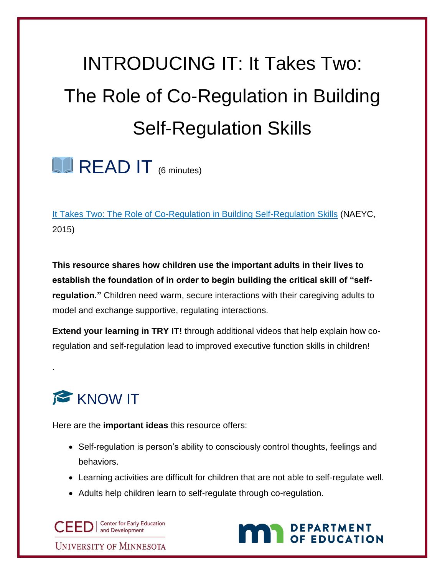## INTRODUCING IT: It Takes Two: The Role of Co-Regulation in Building Self-Regulation Skills

 $\Box$  READ IT  $_{(6 \text{ minutes})}$ 

It Takes [Two: The Role of Co-Regulation in Building Self-Regulation Skills](https://www.naeyc.org/system/files/RR-0715.pdf) (NAEYC, 2015)

**This resource shares how children use the important adults in their lives to establish the foundation of in order to begin building the critical skill of "selfregulation."** Children need warm, secure interactions with their caregiving adults to model and exchange supportive, regulating interactions.

**Extend your learning in TRY IT!** through additional videos that help explain how coregulation and self-regulation lead to improved executive function skills in children!

## KNOW IT

.

Here are the **important ideas** this resource offers:

- Self-regulation is person's ability to consciously control thoughts, feelings and behaviors.
- Learning activities are difficult for children that are not able to self-regulate well.
- Adults help children learn to self-regulate through co-regulation.

**Center for Early Education** CEEDI and Development

**UNIVERSITY OF MINNESOTA** 

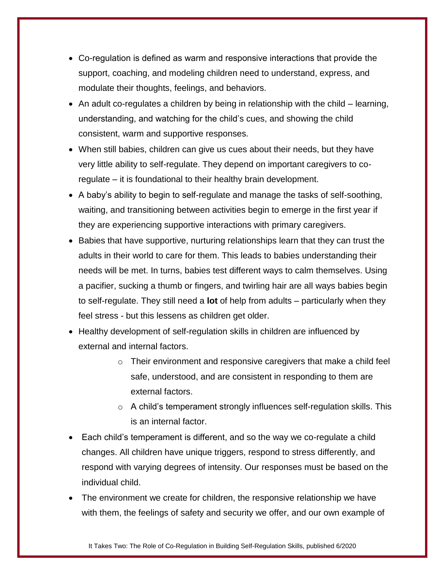- Co-regulation is defined as warm and responsive interactions that provide the support, coaching, and modeling children need to understand, express, and modulate their thoughts, feelings, and behaviors.
- An adult co-regulates a children by being in relationship with the child learning, understanding, and watching for the child's cues, and showing the child consistent, warm and supportive responses.
- When still babies, children can give us cues about their needs, but they have very little ability to self-regulate. They depend on important caregivers to coregulate – it is foundational to their healthy brain development.
- A baby's ability to begin to self-regulate and manage the tasks of self-soothing, waiting, and transitioning between activities begin to emerge in the first year if they are experiencing supportive interactions with primary caregivers.
- Babies that have supportive, nurturing relationships learn that they can trust the adults in their world to care for them. This leads to babies understanding their needs will be met. In turns, babies test different ways to calm themselves. Using a pacifier, sucking a thumb or fingers, and twirling hair are all ways babies begin to self-regulate. They still need a **lot** of help from adults – particularly when they feel stress - but this lessens as children get older.
- Healthy development of self-regulation skills in children are influenced by external and internal factors.
	- o Their environment and responsive caregivers that make a child feel safe, understood, and are consistent in responding to them are external factors.
	- o A child's temperament strongly influences self-regulation skills. This is an internal factor.
- Each child's temperament is different, and so the way we co-regulate a child changes. All children have unique triggers, respond to stress differently, and respond with varying degrees of intensity. Our responses must be based on the individual child.
- The environment we create for children, the responsive relationship we have with them, the feelings of safety and security we offer, and our own example of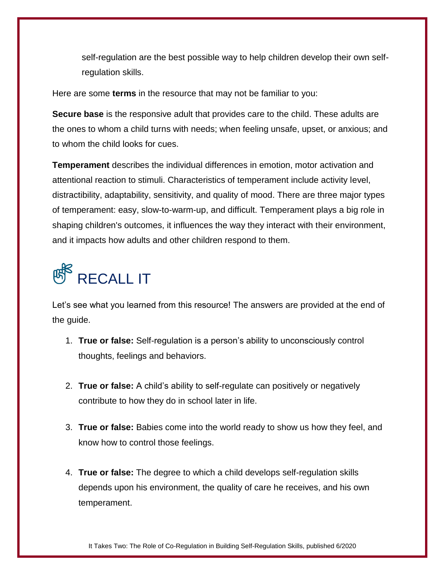self-regulation are the best possible way to help children develop their own selfregulation skills.

Here are some **terms** in the resource that may not be familiar to you:

**Secure base** is the responsive adult that provides care to the child. These adults are the ones to whom a child turns with needs; when feeling unsafe, upset, or anxious; and to whom the child looks for cues.

**Temperament** describes the individual differences in emotion, motor activation and attentional reaction to stimuli. Characteristics of temperament include activity level, distractibility, adaptability, sensitivity, and quality of mood. There are three major types of temperament: easy, slow-to-warm-up, and difficult. Temperament plays a big role in shaping children's outcomes, it influences the way they interact with their environment, and it impacts how adults and other children respond to them.

## <sup>图</sup> RECALL IT

Let's see what you learned from this resource! The answers are provided at the end of the guide.

- 1. **True or false:** Self-regulation is a person's ability to unconsciously control thoughts, feelings and behaviors.
- 2. **True or false:** A child's ability to self-regulate can positively or negatively contribute to how they do in school later in life.
- 3. **True or false:** Babies come into the world ready to show us how they feel, and know how to control those feelings.
- 4. **True or false:** The degree to which a child develops self-regulation skills depends upon his environment, the quality of care he receives, and his own temperament.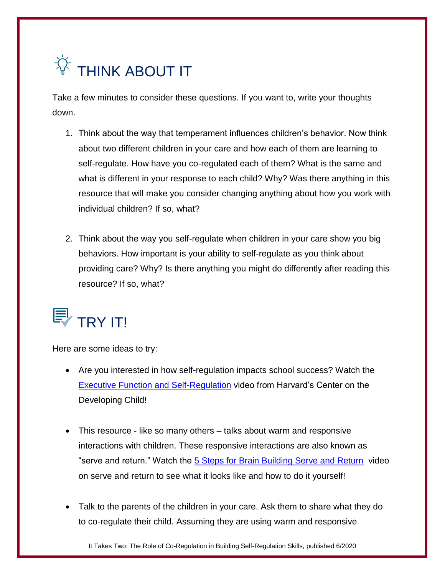

Take a few minutes to consider these questions. If you want to, write your thoughts down.

- 1. Think about the way that temperament influences children's behavior. Now think about two different children in your care and how each of them are learning to self-regulate. How have you co-regulated each of them? What is the same and what is different in your response to each child? Why? Was there anything in this resource that will make you consider changing anything about how you work with individual children? If so, what?
- 2. Think about the way you self-regulate when children in your care show you big behaviors. How important is your ability to self-regulate as you think about providing care? Why? Is there anything you might do differently after reading this resource? If so, what?



Here are some ideas to try:

- Are you interested in how self-regulation impacts school success? Watch the [Executive Function and Self-Regulation](https://developingchild.harvard.edu/science/key-concepts/) video from Harvard's Center on the Developing Child!
- This resource like so many others talks about warm and responsive interactions with children. These responsive interactions are also known as "serve and return." Watch the [5 Steps for Brain Building Serve and Return](https://developingchild.harvard.edu/science/key-concepts/executive-function/) video on serve and return to see what it looks like and how to do it yourself!
- Talk to the parents of the children in your care. Ask them to share what they do to co-regulate their child. Assuming they are using warm and responsive

It Takes Two: The Role of Co-Regulation in Building Self-Regulation Skills, published 6/2020